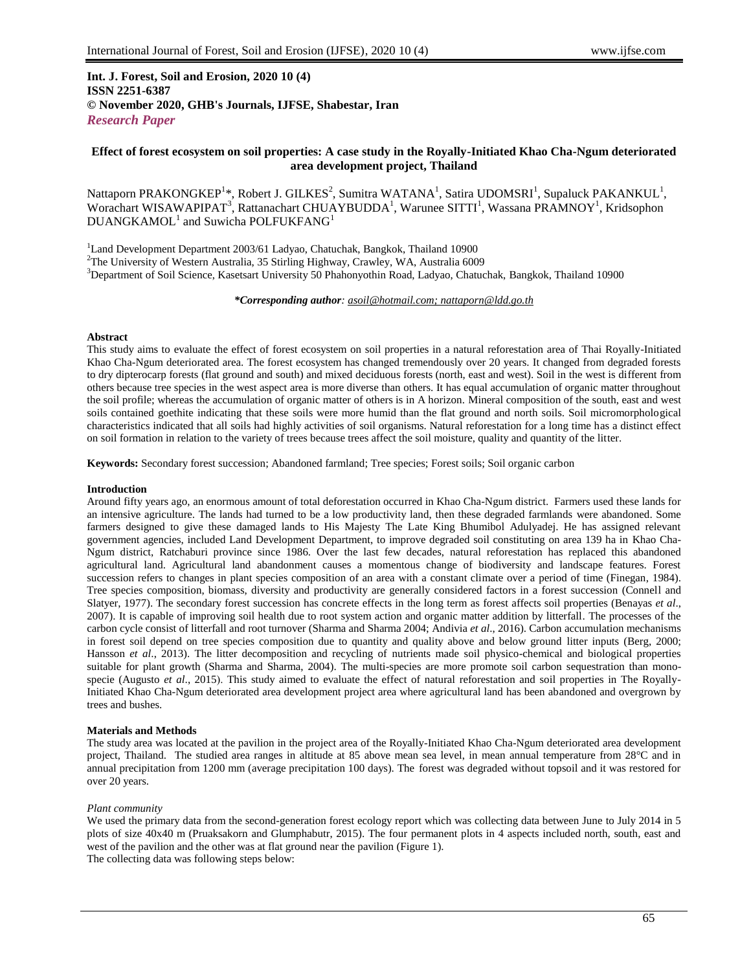## **Int. J. Forest, Soil and Erosion, 2020 10 (4) ISSN 2251-6387 © November 2020, GHB's Journals, IJFSE, Shabestar, Iran** *Research Paper*

## **Effect of forest ecosystem on soil properties: A case study in the Royally-Initiated Khao Cha-Ngum deteriorated area development project, Thailand**

Nattaporn PRAKONGKEP<sup>1\*</sup>, Robert J. GILKES<sup>2</sup>, Sumitra WATANA<sup>1</sup>, Satira UDOMSRI<sup>1</sup>, Supaluck PAKANKUL<sup>1</sup>, Worachart WISAWAPIPAT<sup>3</sup>, Rattanachart CHUAYBUDDA<sup>1</sup>, Warunee SITTI<sup>1</sup>, Wassana PRAMNOY<sup>1</sup>, Kridsophon  $DUANGKAMOL<sup>1</sup>$  and Suwicha POLFUKFANG<sup>1</sup>

<sup>1</sup>Land Development Department 2003/61 Ladyao, Chatuchak, Bangkok, Thailand 10900

<sup>2</sup>The University of Western Australia, 35 Stirling Highway, Crawley, WA, Australia 6009

<sup>3</sup>Department of Soil Science, Kasetsart University 50 Phahonyothin Road, Ladyao, Chatuchak, Bangkok, Thailand 10900

*\*Corresponding author: asoil@hotmail.com; nattaporn@ldd.go.th*

#### **Abstract**

This study aims to evaluate the effect of forest ecosystem on soil properties in a natural reforestation area of Thai Royally-Initiated Khao Cha-Ngum deteriorated area. The forest ecosystem has changed tremendously over 20 years. It changed from degraded forests to dry dipterocarp forests (flat ground and south) and mixed deciduous forests (north, east and west). Soil in the west is different from others because tree species in the west aspect area is more diverse than others. It has equal accumulation of organic matter throughout the soil profile; whereas the accumulation of organic matter of others is in A horizon. Mineral composition of the south, east and west soils contained goethite indicating that these soils were more humid than the flat ground and north soils. Soil micromorphological characteristics indicated that all soils had highly activities of soil organisms. Natural reforestation for a long time has a distinct effect on soil formation in relation to the variety of trees because trees affect the soil moisture, quality and quantity of the litter.

**Keywords:** Secondary forest succession; Abandoned farmland; Tree species; Forest soils; Soil organic carbon

## **Introduction**

Around fifty years ago, an enormous amount of total deforestation occurred in Khao Cha-Ngum district. Farmers used these lands for an intensive agriculture. The lands had turned to be a low productivity land, then these degraded farmlands were abandoned. Some farmers designed to give these damaged lands to His Majesty The Late King Bhumibol Adulyadej. He has assigned relevant government agencies, included Land Development Department, to improve degraded soil constituting on area 139 ha in Khao Cha-Ngum district, Ratchaburi province since 1986. Over the last few decades, natural reforestation has replaced this abandoned agricultural land. Agricultural land abandonment causes a momentous change of biodiversity and landscape features. Forest succession refers to changes in plant species composition of an area with a constant climate over a period of time (Finegan, 1984). Tree species composition, biomass, diversity and productivity are generally considered factors in a forest succession (Connell and Slatyer, 1977). The secondary forest succession has concrete effects in the long term as forest affects soil properties (Benayas *et al*., 2007). It is capable of improving soil health due to root system action and organic matter addition by litterfall. The processes of the carbon cycle consist of litterfall and root turnover (Sharma and Sharma 2004; Andivia *et al*., 2016). Carbon accumulation mechanisms in forest soil depend on tree species composition due to quantity and quality above and below ground litter inputs (Berg, 2000; Hansson *et al.*, 2013). The litter decomposition and recycling of nutrients made soil physico-chemical and biological properties suitable for plant growth (Sharma and Sharma, 2004). The multi-species are more promote soil carbon sequestration than monospecie (Augusto *et al.*, 2015). This study aimed to evaluate the effect of natural reforestation and soil properties in The Royally-Initiated Khao Cha-Ngum deteriorated area development project area where agricultural land has been abandoned and overgrown by trees and bushes.

## **Materials and Methods**

The study area was located at the pavilion in the project area of the Royally-Initiated Khao Cha-Ngum deteriorated area development project, Thailand. The studied area ranges in altitude at 85 above mean sea level, in mean annual temperature from 28°C and in annual precipitation from 1200 mm (average precipitation 100 days). The forest was degraded without topsoil and it was restored for over 20 years.

## *Plant community*

We used the primary data from the second-generation forest ecology report which was collecting data between June to July 2014 in 5 plots of size 40x40 m (Pruaksakorn and Glumphabutr, 2015). The four permanent plots in 4 aspects included north, south, east and west of th[e pavilion](https://www.thai2english.com/dictionary/pavilion.html) and the other was at flat ground near the pavilion (Figure 1). The collecting data was following steps below: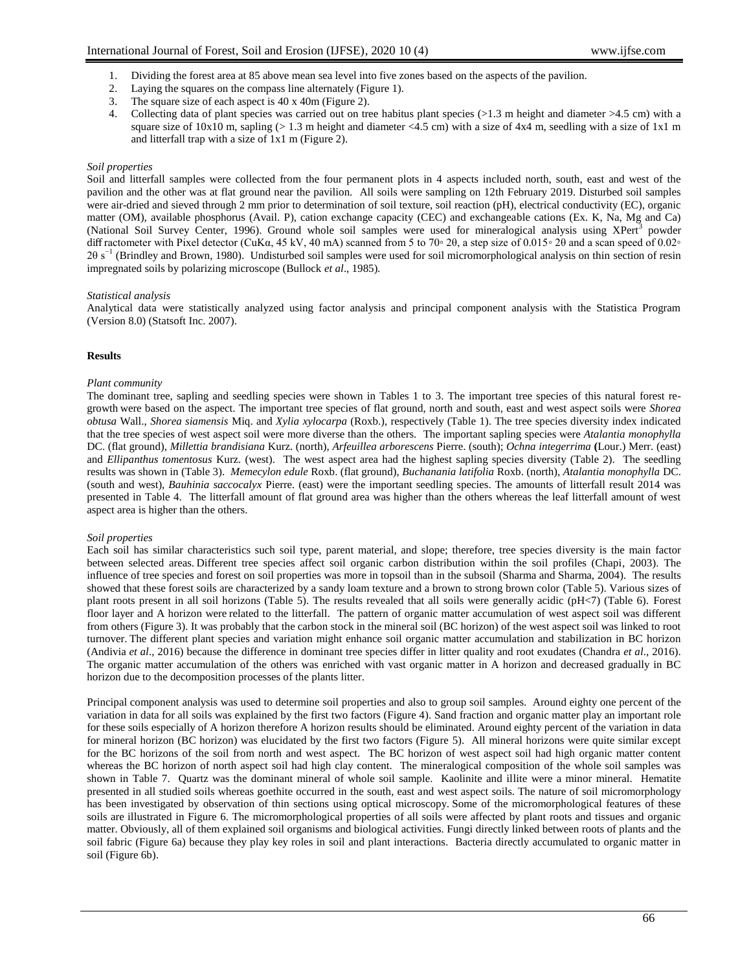- 1. Dividing the forest area at 85 above mean sea level into five zones based on the aspects of the pavilion.
- 2. Laying the squares on the compass line alternately (Figure 1).
- 3. The square size of each aspect is 40 x 40m (Figure 2).
- 4. Collecting data of plant species was carried out on tree habitus plant species (>1.3 m height and diameter >4.5 cm) with a square size of  $10x10$  m, sapling ( $> 1.3$  m height and diameter <4.5 cm) with a size of  $4x4$  m, seedling with a size of  $1x1$  m and litterfall trap with a size of 1x1 m (Figure 2).

## *Soil properties*

Soil and litterfall samples were collected from the four permanent plots in 4 aspects included north, south, east and west of the [pavilion](https://www.thai2english.com/dictionary/pavilion.html) and the other was at flat ground near the pavilion. All soils were sampling on 12th February 2019. Disturbed soil samples were air-dried and sieved through 2 mm prior to determination of soil texture, soil reaction (pH), electrical conductivity (EC), organic matter (OM), available phosphorus (Avail. P), cation exchange capacity (CEC) and exchangeable cations (Ex. K, Na, Mg and Ca) (National Soil Survey Center, 1996). Ground whole soil samples were used for mineralogical analysis using XPert<sup>3</sup> powder diff ractometer with Pixel detector (CuK $\alpha$ , 45 kV, 40 mA) scanned from 5 to 70° 2 $\theta$ , a step size of 0.015° 2 $\theta$  and a scan speed of 0.02°  $2\theta$  s<sup>−1</sup> (Brindley and Brown, 1980). Undisturbed soil samples were used for soil micromorphological analysis on thin section of resin impregnated soils by polarizing microscope (Bullock *et al*., 1985).

## *Statistical analysis*

Analytical data were statistically analyzed using factor analysis and principal component analysis with the Statistica Program (Version 8.0) (Statsoft Inc. 2007).

## **Results**

## *Plant community*

The dominant tree, sapling and seedling species were shown in Tables 1 to 3. The important tree species of this natural forest regrowth were based on the aspect. The important tree species of flat ground, north and south, east and west aspect soils were *Shorea obtusa* Wall., *Shorea siamensis* Miq. and *Xylia xylocarpa* (Roxb.), respectively (Table 1). The tree species diversity index indicated that the tree species of west aspect soil were more diverse than the others. The important sapling species were *Atalantia monophylla* DC. (flat ground), *Millettia brandisiana* Kurz. (north), *Arfeuillea arborescens* Pierre. (south); *Ochna integerrima* **(**Lour.) Merr. (east) and *Ellipanthus tomentosus* Kurz. (west). The west aspect area had the highest sapling species diversity (Table 2). The seedling results was shown in (Table 3). *Memecylon edule* Roxb. (flat ground), *Buchanania latifolia* Roxb. (north), *Atalantia monophylla* DC. (south and west), *Bauhinia saccocalyx* Pierre. (east) were the important seedling species. The amounts of litterfall result 2014 was presented in Table 4. The litterfall amount of flat ground area was higher than the others whereas the leaf litterfall amount of west aspect area is higher than the others.

## *Soil properties*

Each soil has similar characteristics such soil type, parent material, and slope; therefore, tree species diversity is the main factor between selected areas. Different tree species affect soil organic carbon distribution within the soil profiles (Chapi, 2003). The influence of tree species and forest on soil properties was more in topsoil than in the subsoil (Sharma and Sharma, 2004). The results showed that these forest soils are characterized by a sandy loam texture and a brown to strong brown color (Table 5). Various sizes of plant roots present in all soil horizons (Table 5). The results revealed that all soils were generally acidic (pH<7) (Table 6). Forest floor layer and A horizon were related to the litterfall. The pattern of organic matter accumulation of west aspect soil was different from others (Figure 3). It was probably that the carbon stock in the mineral soil (BC horizon) of the west aspect soil was linked to root turnover. The different plant species and variation might enhance soil organic matter accumulation and stabilization in BC horizon (Andivia *et al*., 2016) because the difference in dominant tree species differ in litter quality and root exudates (Chandra *et al*., 2016). The organic matter accumulation of the others was enriched with vast organic matter in A horizon and decreased gradually in BC horizon due to the decomposition processes of the plants litter.

Principal component analysis was used to determine soil properties and also to group soil samples. Around eighty one percent of the variation in data for all soils was explained by the first two factors (Figure 4). Sand fraction and organic matter play an important role for these soils especially of A horizon therefore A horizon results should be eliminated. Around eighty percent of the variation in data for mineral horizon (BC horizon) was elucidated by the first two factors (Figure 5). All mineral horizons were quite similar except for the BC horizons of the soil from north and west aspect. The BC horizon of west aspect soil had high organic matter content whereas the BC horizon of north aspect soil had high clay content. The mineralogical composition of the whole soil samples was shown in Table 7. Quartz was the dominant mineral of whole soil sample. Kaolinite and illite were a minor mineral. Hematite presented in all studied soils whereas goethite occurred in the south, east and west aspect soils. The nature of soil micromorphology has been investigated by observation of thin sections using optical microscopy. Some of the micromorphological features of these soils are illustrated in Figure 6. The micromorphological properties of all soils were affected by plant roots and tissues and organic matter. Obviously, all of them explained soil organisms and biological activities. Fungi directly linked between roots of plants and the soil fabric (Figure 6a) because they play key roles in soil and plant interactions. Bacteria directly accumulated to organic matter in soil (Figure 6b).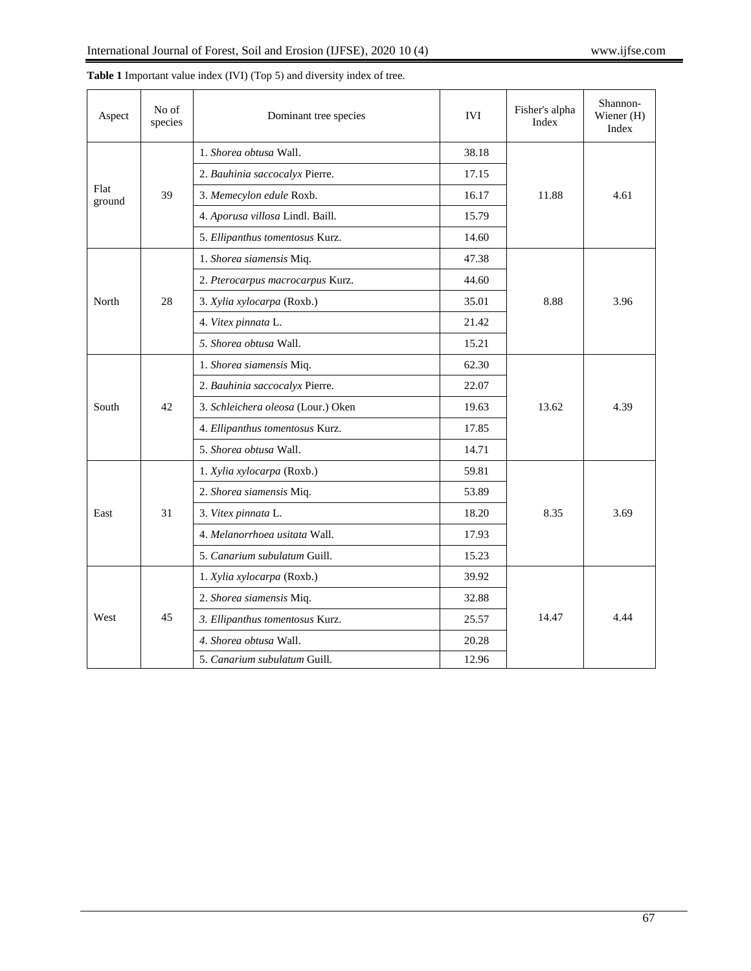| Aspect         | No of<br>species | Dominant tree species                       | <b>IVI</b> | Fisher's alpha<br>Index | Shannon-<br>Wiener (H)<br>Index |  |
|----------------|------------------|---------------------------------------------|------------|-------------------------|---------------------------------|--|
|                |                  | 1. Shorea obtusa Wall.                      | 38.18      |                         |                                 |  |
|                |                  | 2. Bauhinia saccocalyx Pierre.              | 17.15      |                         |                                 |  |
| Flat<br>ground | 39               | 3. Memecylon edule Roxb.                    | 16.17      | 11.88                   | 4.61                            |  |
|                |                  | 4. Aporusa villosa Lindl. Baill.            |            |                         |                                 |  |
|                |                  | 5. Ellipanthus tomentosus Kurz.             | 14.60      |                         |                                 |  |
|                |                  | 1. Shorea siamensis Miq.                    | 47.38      |                         |                                 |  |
|                |                  | 2. Pterocarpus macrocarpus Kurz.            | 44.60      |                         | 3.96                            |  |
| North          | 28               | 3. Xylia xylocarpa (Roxb.)                  | 35.01      | 8.88                    |                                 |  |
|                |                  | 4. Vitex pinnata L.                         | 21.42      |                         |                                 |  |
|                |                  | 5. Shorea obtusa Wall.<br>15.21             |            |                         |                                 |  |
|                | 42               | 1. Shorea siamensis Miq.                    | 62.30      |                         |                                 |  |
|                |                  | 2. Bauhinia saccocalyx Pierre.              | 22.07      |                         |                                 |  |
| South          |                  | 3. Schleichera oleosa (Lour.) Oken<br>19.63 |            | 13.62                   | 4.39                            |  |
|                |                  | 4. Ellipanthus tomentosus Kurz.             |            |                         |                                 |  |
|                |                  | 5. Shorea obtusa Wall.                      | 14.71      |                         |                                 |  |
|                |                  | 1. Xylia xylocarpa (Roxb.)<br>59.81         |            |                         |                                 |  |
|                |                  | 2. Shorea siamensis Miq.                    | 53.89      |                         |                                 |  |
| East           | 31               | 3. Vitex pinnata L.                         | 18.20      | 8.35                    | 3.69                            |  |
|                |                  | 4. Melanorrhoea usitata Wall.               | 17.93      |                         |                                 |  |
|                |                  | 5. Canarium subulatum Guill.                | 15.23      |                         |                                 |  |
|                |                  | 1. Xylia xylocarpa (Roxb.)                  | 39.92      |                         |                                 |  |
|                |                  | 2. Shorea siamensis Miq.                    | 32.88      |                         | 4.44                            |  |
| West           | 45               | 3. Ellipanthus tomentosus Kurz.             | 25.57      | 14.47                   |                                 |  |
|                |                  | 4. Shorea obtusa Wall.                      | 20.28      |                         |                                 |  |
|                |                  | 5. Canarium subulatum Guill.                | 12.96      |                         |                                 |  |

**Table 1** Important value index (IVI) (Top 5) and diversity index of tree.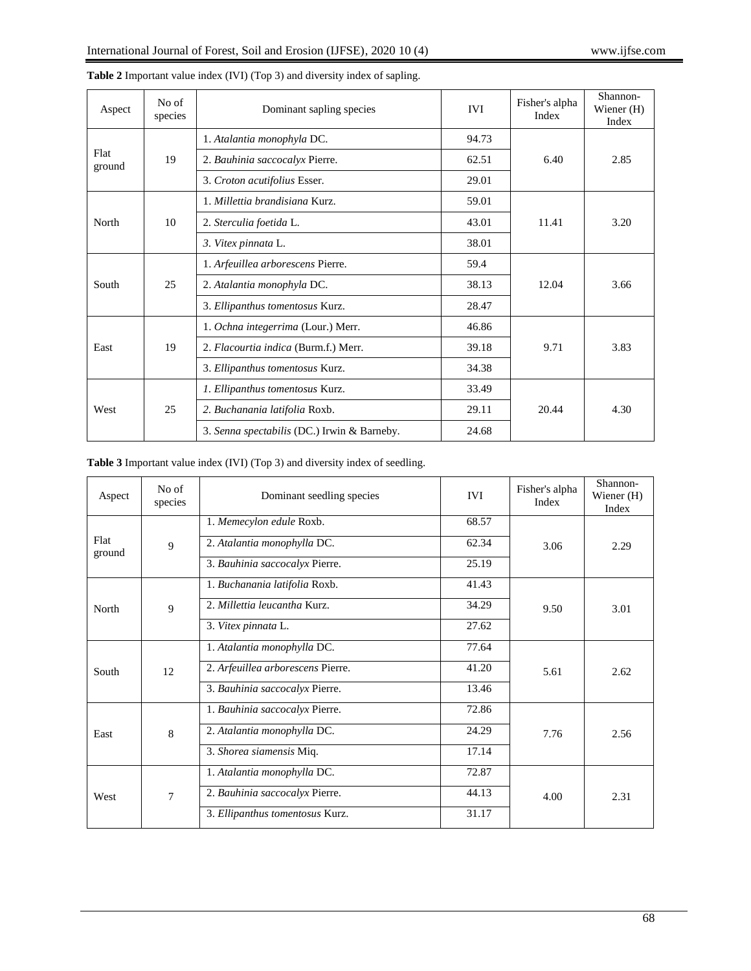| Aspect         | No of<br>species | Dominant sapling species                    | <b>IVI</b> | Fisher's alpha<br>Index | Shannon-<br>Wiener $(H)$<br>Index |  |
|----------------|------------------|---------------------------------------------|------------|-------------------------|-----------------------------------|--|
|                |                  | 1. Atalantia monophyla DC.                  | 94.73      |                         |                                   |  |
| Flat<br>ground | 19               | 2. Bauhinia saccocalyx Pierre.              | 62.51      | 6.40                    | 2.85                              |  |
|                |                  | 3. Croton acutifolius Esser.                | 29.01      |                         |                                   |  |
|                |                  | 1. Millettia brandisiana Kurz.              | 59.01      |                         | 3.20                              |  |
| North          | 10               | 2. Sterculia foetida L.                     | 43.01      | 11.41                   |                                   |  |
|                |                  | 3. Vitex pinnata L.                         | 38.01      |                         |                                   |  |
|                | 25               | 1. Arfeuillea arborescens Pierre.           | 59.4       | 12.04                   |                                   |  |
| South          |                  | 2. Atalantia monophyla DC.                  | 38.13      |                         | 3.66                              |  |
|                |                  | 3. Ellipanthus tomentosus Kurz.             | 28.47      |                         |                                   |  |
|                |                  | 1. Ochna integerrima (Lour.) Merr.          | 46.86      |                         | 3.83                              |  |
| East           | 19               | 2. Flacourtia indica (Burm.f.) Merr.        | 39.18      | 9.71                    |                                   |  |
|                |                  | 3. Ellipanthus tomentosus Kurz.             | 34.38      |                         |                                   |  |
| West           |                  | 1. Ellipanthus tomentosus Kurz.             | 33.49      |                         |                                   |  |
|                | 25               | 2. Buchanania latifolia Roxb.               | 29.11      | 20.44                   | 4.30                              |  |
|                |                  | 3. Senna spectabilis (DC.) Irwin & Barneby. | 24.68      |                         |                                   |  |

**Table 2** Important value index (IVI) (Top 3) and diversity index of sapling.

## **Table 3** Important value index (IVI) (Top 3) and diversity index of seedling.

| Aspect         | No of<br>species | Dominant seedling species         | <b>IVI</b> | Fisher's alpha<br>Index | Shannon-<br>Wiener $(H)$<br>Index |
|----------------|------------------|-----------------------------------|------------|-------------------------|-----------------------------------|
|                |                  | 1. Memecylon edule Roxb.          | 68.57      |                         | 2.29                              |
| Flat<br>ground | 9                | 2. Atalantia monophylla DC.       | 62.34      | 3.06                    |                                   |
|                |                  | 3. Bauhinia saccocalyx Pierre.    | 25.19      |                         |                                   |
|                |                  | 1. Buchanania latifolia Roxb.     | 41.43      |                         | 3.01                              |
| North          | $\overline{9}$   | 2. Millettia leucantha Kurz.      | 34.29      | 9.50                    |                                   |
|                |                  | 3. Vitex pinnata L.               | 27.62      |                         |                                   |
|                | 12               | 1. Atalantia monophylla DC.       | 77.64      |                         | 2.62                              |
| South          |                  | 2. Arfeuillea arborescens Pierre. | 41.20      | 5.61                    |                                   |
|                |                  | 3. Bauhinia saccocalyx Pierre.    | 13.46      |                         |                                   |
|                | 8                | 1. Bauhinia saccocalyx Pierre.    | 72.86      |                         | 2.56                              |
| East           |                  | 2. Atalantia monophylla DC.       | 24.29      | 7.76                    |                                   |
|                |                  | 3. Shorea siamensis Miq.          | 17.14      |                         |                                   |
|                | $\overline{7}$   | 1. Atalantia monophylla DC.       | 72.87      |                         |                                   |
| West           |                  | 2. Bauhinia saccocalyx Pierre.    | 44.13      | 4.00                    | 2.31                              |
|                |                  | 3. Ellipanthus tomentosus Kurz.   | 31.17      |                         |                                   |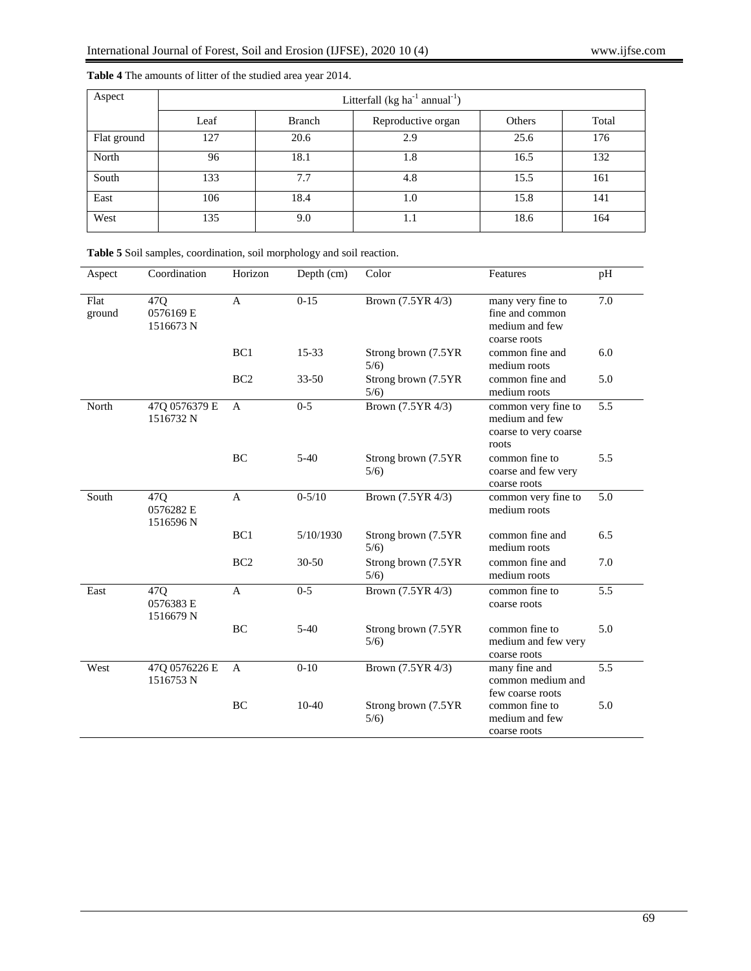| Aspect      | Litterfall (kg ha $^{-1}$ annual $^{-1}$ ) |               |                    |        |       |  |  |  |  |  |
|-------------|--------------------------------------------|---------------|--------------------|--------|-------|--|--|--|--|--|
|             | Leaf                                       | <b>Branch</b> | Reproductive organ | Others | Total |  |  |  |  |  |
| Flat ground | 127                                        | 20.6          | 2.9                | 25.6   | 176   |  |  |  |  |  |
| North       | 96                                         | 18.1          | 1.8                | 16.5   | 132   |  |  |  |  |  |
| South       | 133                                        | 7.7           | 4.8                | 15.5   | 161   |  |  |  |  |  |
| East        | 106                                        | 18.4          | 1.0                | 15.8   | 141   |  |  |  |  |  |
| West        | 135                                        | 9.0           | 1.1                | 18.6   | 164   |  |  |  |  |  |

Aspect Coordination Horizon Depth (cm) Color Features pH

# **Table 4** The amounts of litter of the studied area year 2014.

| Flat<br>ground | 47Q<br>0576169 E<br>1516673 N | $\mathsf{A}$    | $0-15$     | Brown (7.5YR 4/3)            | many very fine to<br>fine and common<br>medium and few<br>coarse roots  | 7.0 |
|----------------|-------------------------------|-----------------|------------|------------------------------|-------------------------------------------------------------------------|-----|
|                |                               | BC <sub>1</sub> | 15-33      | Strong brown (7.5YR<br>5/6   | common fine and<br>medium roots                                         | 6.0 |
|                |                               | BC <sub>2</sub> | $33 - 50$  | Strong brown (7.5YR<br>5/6)  | common fine and<br>medium roots                                         | 5.0 |
| North          | 47Q 0576379 E<br>1516732 N    | $\mathbf{A}$    | $0 - 5$    | Brown (7.5YR 4/3)            | common very fine to<br>medium and few<br>coarse to very coarse<br>roots | 5.5 |
|                |                               | <b>BC</b>       | $5-40$     | Strong brown (7.5YR<br>5/6   | common fine to<br>coarse and few very<br>coarse roots                   | 5.5 |
| South          | 47Q<br>0576282 E<br>1516596 N | $\mathbf{A}$    | $0 - 5/10$ | Brown (7.5YR 4/3)            | common very fine to<br>medium roots                                     | 5.0 |
|                |                               | BC <sub>1</sub> | 5/10/1930  | Strong brown (7.5YR<br>5/6)  | common fine and<br>medium roots                                         | 6.5 |
|                |                               | BC <sub>2</sub> | 30-50      | Strong brown (7.5YR<br>5/6)  | common fine and<br>medium roots                                         | 7.0 |
| East           | 47Q<br>0576383 E<br>1516679 N | $\overline{A}$  | $0 - 5$    | Brown (7.5YR 4/3)            | common fine to<br>coarse roots                                          | 5.5 |
|                |                               | BC              | $5-40$     | Strong brown (7.5YR<br>5/6   | common fine to<br>medium and few very<br>coarse roots                   | 5.0 |
| West           | 47Q 0576226 E<br>1516753 N    | A               | $0 - 10$   | Brown (7.5YR 4/3)            | many fine and<br>common medium and<br>few coarse roots                  | 5.5 |
|                |                               | BC              | $10-40$    | Strong brown (7.5YR)<br>5/6) | common fine to<br>medium and few<br>coarse roots                        | 5.0 |

**Table 5** Soil samples, coordination, soil morphology and soil reaction.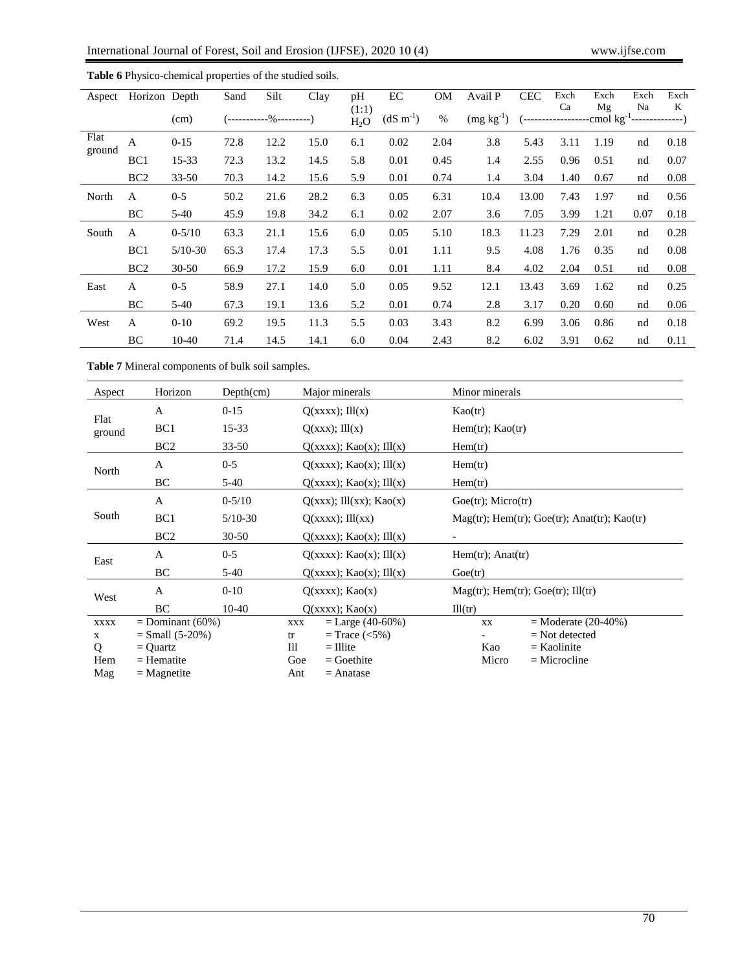| Aspect         | Horizon Depth   |            | Sand | Silt                      | Clay | pH                        | EC                    | <b>OM</b> | Avail P     | <b>CEC</b> | Exch                                                                 | Exch | Exch | Exch |
|----------------|-----------------|------------|------|---------------------------|------|---------------------------|-----------------------|-----------|-------------|------------|----------------------------------------------------------------------|------|------|------|
|                |                 | (cm)       |      | (------------%----------) |      | (1:1)<br>H <sub>2</sub> O | $(dS \text{ m}^{-1})$ | $\%$      | $(mg kg-1)$ |            | Ca<br>$\left(-\text{---}\right)$ $\text{---}\left(\text{---}\right)$ | Mg   | Na   | K    |
| Flat<br>ground | $\mathbf{A}$    | $0-15$     | 72.8 | 12.2                      | 15.0 | 6.1                       | 0.02                  | 2.04      | 3.8         | 5.43       | 3.11                                                                 | 1.19 | nd   | 0.18 |
|                | BC <sub>1</sub> | $15 - 33$  | 72.3 | 13.2                      | 14.5 | 5.8                       | 0.01                  | 0.45      | 1.4         | 2.55       | 0.96                                                                 | 0.51 | nd   | 0.07 |
|                | BC <sub>2</sub> | $33 - 50$  | 70.3 | 14.2                      | 15.6 | 5.9                       | 0.01                  | 0.74      | 1.4         | 3.04       | 1.40                                                                 | 0.67 | nd   | 0.08 |
| North          | A               | $0 - 5$    | 50.2 | 21.6                      | 28.2 | 6.3                       | 0.05                  | 6.31      | 10.4        | 13.00      | 7.43                                                                 | 1.97 | nd   | 0.56 |
|                | BC              | $5-40$     | 45.9 | 19.8                      | 34.2 | 6.1                       | 0.02                  | 2.07      | 3.6         | 7.05       | 3.99                                                                 | 1.21 | 0.07 | 0.18 |
| South          | $\mathbf{A}$    | $0 - 5/10$ | 63.3 | 21.1                      | 15.6 | 6.0                       | 0.05                  | 5.10      | 18.3        | 11.23      | 7.29                                                                 | 2.01 | nd   | 0.28 |
|                | BC <sub>1</sub> | $5/10-30$  | 65.3 | 17.4                      | 17.3 | 5.5                       | 0.01                  | 1.11      | 9.5         | 4.08       | 1.76                                                                 | 0.35 | nd   | 0.08 |
|                | BC <sub>2</sub> | $30 - 50$  | 66.9 | 17.2                      | 15.9 | 6.0                       | 0.01                  | 1.11      | 8.4         | 4.02       | 2.04                                                                 | 0.51 | nd   | 0.08 |
| East           | A               | $0 - 5$    | 58.9 | 27.1                      | 14.0 | 5.0                       | 0.05                  | 9.52      | 12.1        | 13.43      | 3.69                                                                 | 1.62 | nd   | 0.25 |
|                | BC              | $5-40$     | 67.3 | 19.1                      | 13.6 | 5.2                       | 0.01                  | 0.74      | 2.8         | 3.17       | 0.20                                                                 | 0.60 | nd   | 0.06 |
| West           | $\mathbf{A}$    | $0 - 10$   | 69.2 | 19.5                      | 11.3 | 5.5                       | 0.03                  | 3.43      | 8.2         | 6.99       | 3.06                                                                 | 0.86 | nd   | 0.18 |
|                | BC              | 10-40      | 71.4 | 14.5                      | 14.1 | 6.0                       | 0.04                  | 2.43      | 8.2         | 6.02       | 3.91                                                                 | 0.62 | nd   | 0.11 |

**Table 6** Physico-chemical properties of the studied soils.

**Table 7** Mineral components of bulk soil samples.

| Aspect         | Horizon            | Depth(cm)  | Major minerals                    | Minor minerals                                   |
|----------------|--------------------|------------|-----------------------------------|--------------------------------------------------|
|                | A                  | $0-15$     | $O(xxxx)$ ; Ill $(x)$             | Kao(tr)                                          |
| Flat<br>ground | BC <sub>1</sub>    | 15-33      | $Q(xxx);$ Ill $(x)$               | $Hem(tr)$ ; Kao $(tr)$                           |
|                | BC <sub>2</sub>    | 33-50      | $Q(xxxx)$ ; Kao $(x)$ ; Ill $(x)$ | Hem(tr)                                          |
| North          | A                  | $0 - 5$    | $Q(xxxx)$ ; Kao $(x)$ ; Ill $(x)$ | Hem(tr)                                          |
|                | BC                 | $5-40$     | Q(xxxx); Kao(x); III(x)           | Hem(tr)                                          |
| South          | A                  | $0 - 5/10$ | $Q(xx)$ ; Ill $(xx)$ ; Kao $(x)$  | $Goe(tr)$ ; Micro $(tr)$                         |
|                | BC1                | $5/10-30$  | $Q(xxxx);$ Ill $(xx)$             | $Mag(tr)$ ; Hem(tr); Goe(tr); Anat(tr); Kao(tr)  |
|                | BC <sub>2</sub>    | $30 - 50$  | Q(xxxx); Kao(x); III(x)           |                                                  |
| East           | A                  | $0 - 5$    | $Q(xxxx)$ : Kao $(x)$ ; Ill $(x)$ | $Hem(tr)$ ; Anat $(tr)$                          |
|                | BC                 | 5-40       | Q(xxxx); Kao(x); III(x)           | Goe(tr)                                          |
| West           | A                  | $0 - 10$   | Q(xxxx); Kao(x)                   | $Mag(tr)$ ; Hem $(tr)$ ; Goe $(tr)$ ; Ill $(tr)$ |
|                | BC                 | $10-40$    | Q(xxxx); Kao(x)                   | III(tr)                                          |
| <b>XXXX</b>    | $=$ Dominant (60%) |            | $=$ Large (40-60%)<br>XXX         | $=$ Moderate (20-40%)<br>XX                      |
| $\mathbf{x}$   | $=$ Small (5-20%)  |            | $=$ Trace $(<5\%)$<br>tr          | $=$ Not detected                                 |
| Q              | $=$ Quartz         |            | TH<br>$=$ Illite                  | Kao<br>$=$ Kaolinite                             |
| Hem            | $=$ Hematite       |            | Goe<br>$=$ Goethite               | Micro<br>$=$ Microcline                          |
| Mag            | $=$ Magnetite      |            | Ant<br>$=$ Anatase                |                                                  |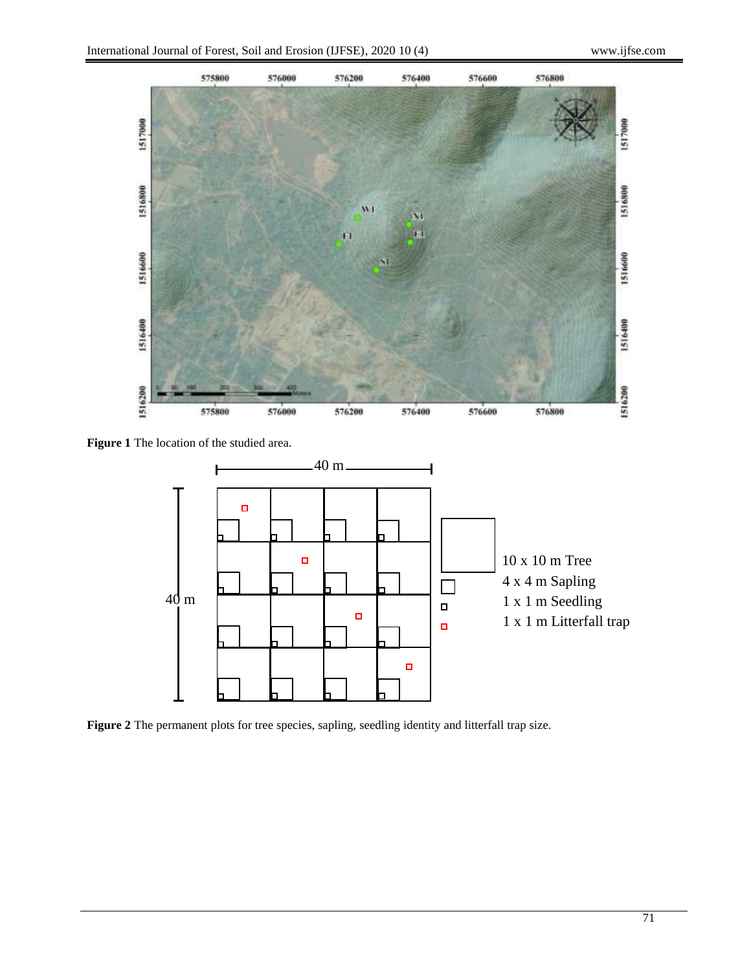

**Figure 1** The location of the studied area.



**Figure 2** The permanent plots for tree species, sapling, seedling identity and litterfall trap size.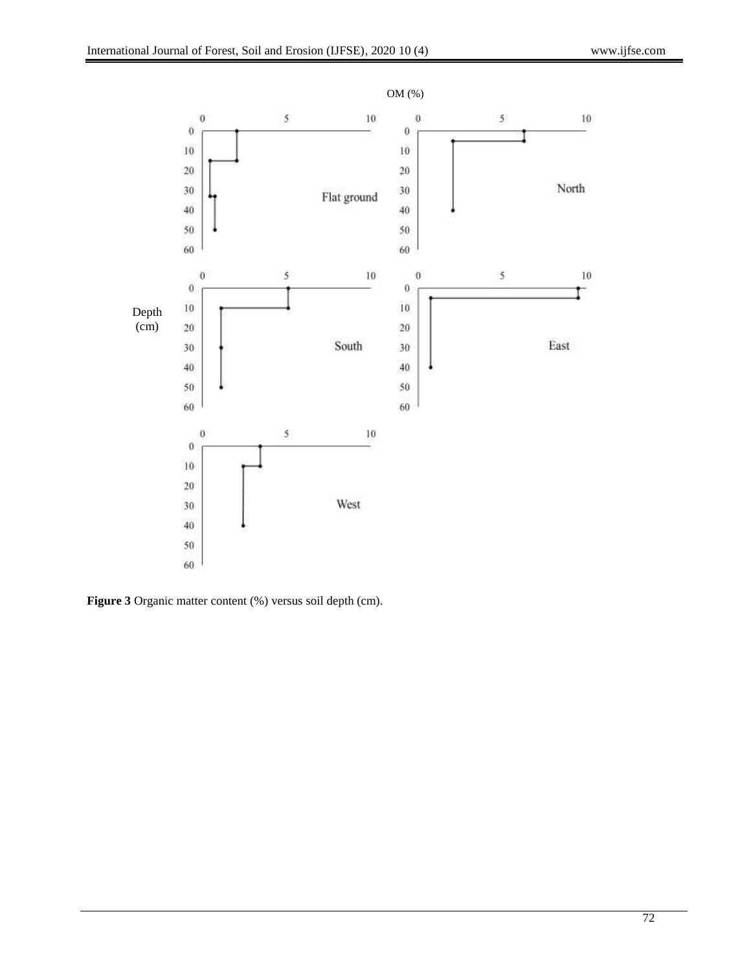

**Figure 3** Organic matter content (%) versus soil depth (cm).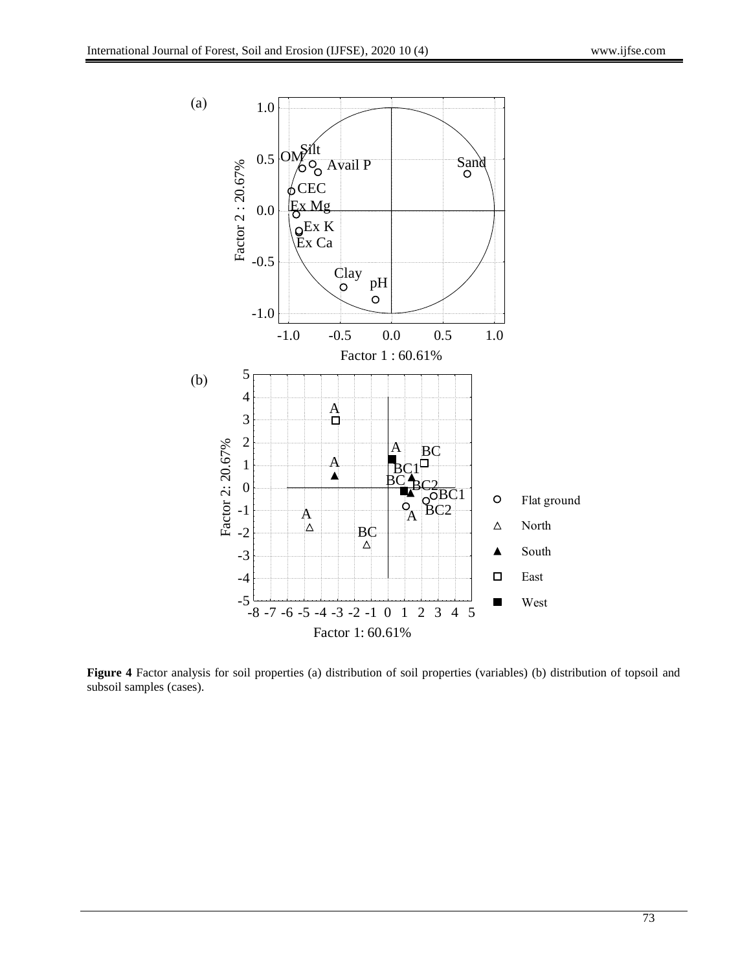

**Figure 4** Factor analysis for soil properties (a) distribution of soil properties (variables) (b) distribution of topsoil and subsoil samples (cases).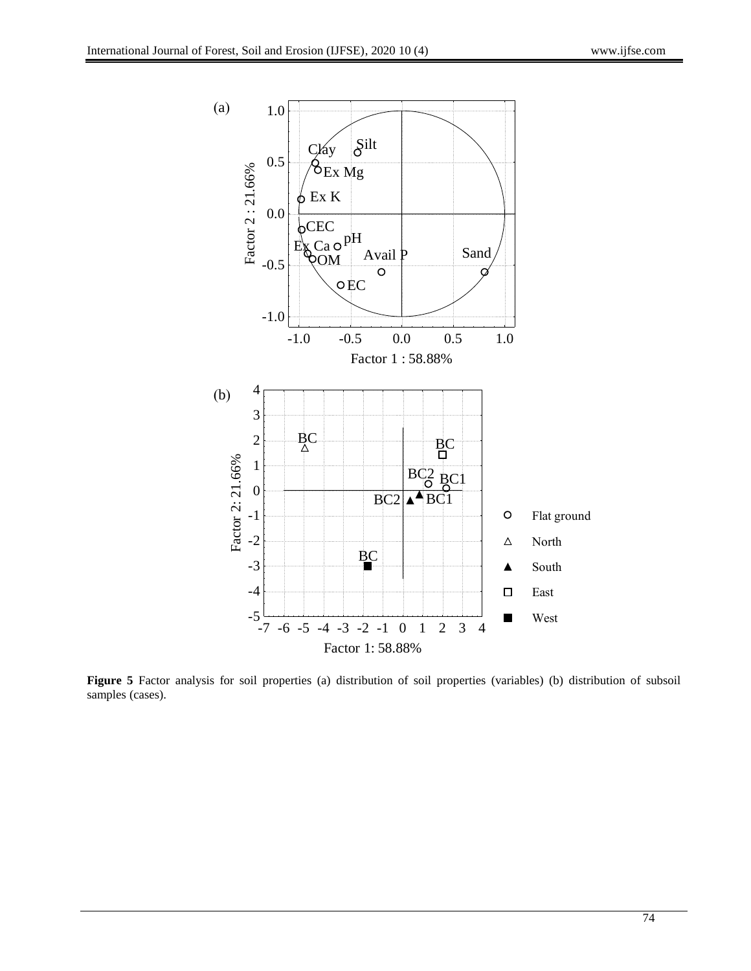

**Figure 5** Factor analysis for soil properties (a) distribution of soil properties (variables) (b) distribution of subsoil samples (cases).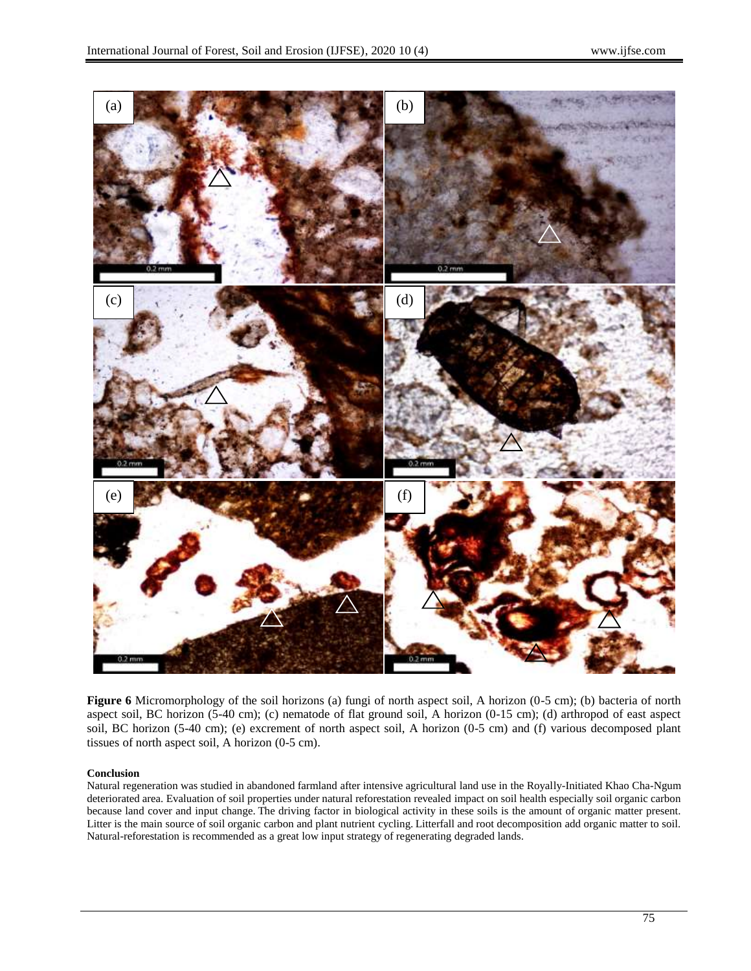

**Figure 6** Micromorphology of the soil horizons (a) fungi of north aspect soil, A horizon (0-5 cm); (b) bacteria of north aspect soil, BC horizon (5-40 cm); (c) nematode of flat ground soil, A horizon (0-15 cm); (d) arthropod of east aspect soil, BC horizon (5-40 cm); (e) excrement of north aspect soil, A horizon (0-5 cm) and (f) various decomposed plant tissues of north aspect soil, A horizon (0-5 cm).

## **Conclusion**

Natural regeneration was studied in abandoned farmland after intensive agricultural land use in the Royally-Initiated Khao Cha-Ngum deteriorated area. Evaluation of soil properties under natural reforestation revealed impact on soil health especially soil organic carbon because land cover and input change. The driving factor in biological activity in these soils is the amount of organic matter present. Litter is the main source of soil organic carbon and plant nutrient cycling. Litterfall and root decomposition add organic matter to soil. Natural-reforestation is recommended as a great low input strategy of regenerating degraded lands.